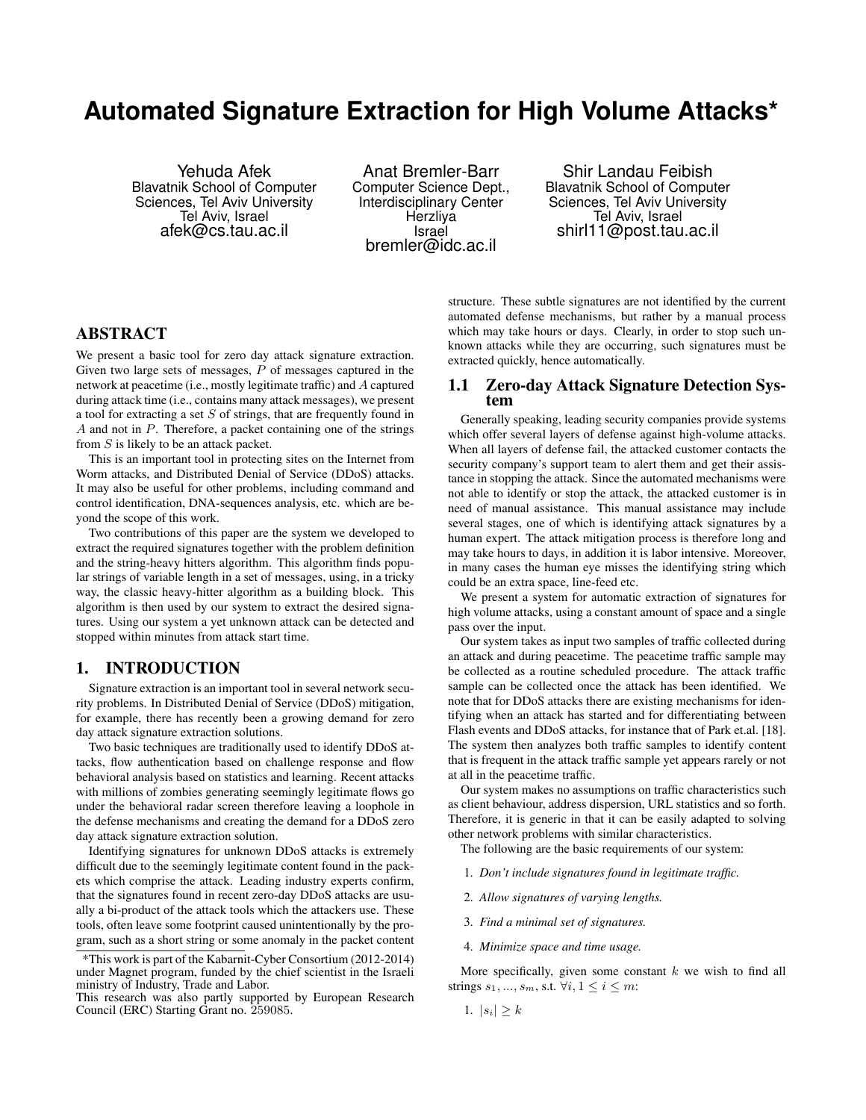# **Automated Signature Extraction for High Volume Attacks\***

Yehuda Afek Blavatnik School of Computer Sciences, Tel Aviv University Tel Aviv, Israel afek@cs.tau.ac.il

Anat Bremler-Barr Computer Science Dept., Interdisciplinary Center Herzliya Israel bremler@idc.ac.il

Shir Landau Feibish Blavatnik School of Computer Sciences, Tel Aviv University Tel Aviv, Israel shirl11@post.tau.ac.il

# ABSTRACT

We present a basic tool for zero day attack signature extraction. Given two large sets of messages, P of messages captured in the network at peacetime (i.e., mostly legitimate traffic) and A captured during attack time (i.e., contains many attack messages), we present a tool for extracting a set  $S$  of strings, that are frequently found in A and not in P. Therefore, a packet containing one of the strings from S is likely to be an attack packet.

This is an important tool in protecting sites on the Internet from Worm attacks, and Distributed Denial of Service (DDoS) attacks. It may also be useful for other problems, including command and control identification, DNA-sequences analysis, etc. which are beyond the scope of this work.

Two contributions of this paper are the system we developed to extract the required signatures together with the problem definition and the string-heavy hitters algorithm. This algorithm finds popular strings of variable length in a set of messages, using, in a tricky way, the classic heavy-hitter algorithm as a building block. This algorithm is then used by our system to extract the desired signatures. Using our system a yet unknown attack can be detected and stopped within minutes from attack start time.

# 1. INTRODUCTION

Signature extraction is an important tool in several network security problems. In Distributed Denial of Service (DDoS) mitigation, for example, there has recently been a growing demand for zero day attack signature extraction solutions.

Two basic techniques are traditionally used to identify DDoS attacks, flow authentication based on challenge response and flow behavioral analysis based on statistics and learning. Recent attacks with millions of zombies generating seemingly legitimate flows go under the behavioral radar screen therefore leaving a loophole in the defense mechanisms and creating the demand for a DDoS zero day attack signature extraction solution.

Identifying signatures for unknown DDoS attacks is extremely difficult due to the seemingly legitimate content found in the packets which comprise the attack. Leading industry experts confirm, that the signatures found in recent zero-day DDoS attacks are usually a bi-product of the attack tools which the attackers use. These tools, often leave some footprint caused unintentionally by the program, such as a short string or some anomaly in the packet content structure. These subtle signatures are not identified by the current automated defense mechanisms, but rather by a manual process which may take hours or days. Clearly, in order to stop such unknown attacks while they are occurring, such signatures must be extracted quickly, hence automatically.

### 1.1 Zero-day Attack Signature Detection System

Generally speaking, leading security companies provide systems which offer several layers of defense against high-volume attacks. When all layers of defense fail, the attacked customer contacts the security company's support team to alert them and get their assistance in stopping the attack. Since the automated mechanisms were not able to identify or stop the attack, the attacked customer is in need of manual assistance. This manual assistance may include several stages, one of which is identifying attack signatures by a human expert. The attack mitigation process is therefore long and may take hours to days, in addition it is labor intensive. Moreover, in many cases the human eye misses the identifying string which could be an extra space, line-feed etc.

We present a system for automatic extraction of signatures for high volume attacks, using a constant amount of space and a single pass over the input.

Our system takes as input two samples of traffic collected during an attack and during peacetime. The peacetime traffic sample may be collected as a routine scheduled procedure. The attack traffic sample can be collected once the attack has been identified. We note that for DDoS attacks there are existing mechanisms for identifying when an attack has started and for differentiating between Flash events and DDoS attacks, for instance that of Park et.al. [18]. The system then analyzes both traffic samples to identify content that is frequent in the attack traffic sample yet appears rarely or not at all in the peacetime traffic.

Our system makes no assumptions on traffic characteristics such as client behaviour, address dispersion, URL statistics and so forth. Therefore, it is generic in that it can be easily adapted to solving other network problems with similar characteristics.

The following are the basic requirements of our system:

- 1. *Don't include signatures found in legitimate traffic.*
- 2. *Allow signatures of varying lengths.*
- 3. *Find a minimal set of signatures.*
- 4. *Minimize space and time usage.*

More specifically, given some constant  $k$  we wish to find all strings  $s_1, ..., s_m$ , s.t.  $\forall i, 1 \leq i \leq m$ :

1.  $|s_i| \geq k$ 

<sup>\*</sup>This work is part of the Kabarnit-Cyber Consortium (2012-2014) under Magnet program, funded by the chief scientist in the Israeli ministry of Industry, Trade and Labor.

This research was also partly supported by European Research Council (ERC) Starting Grant no. 259085.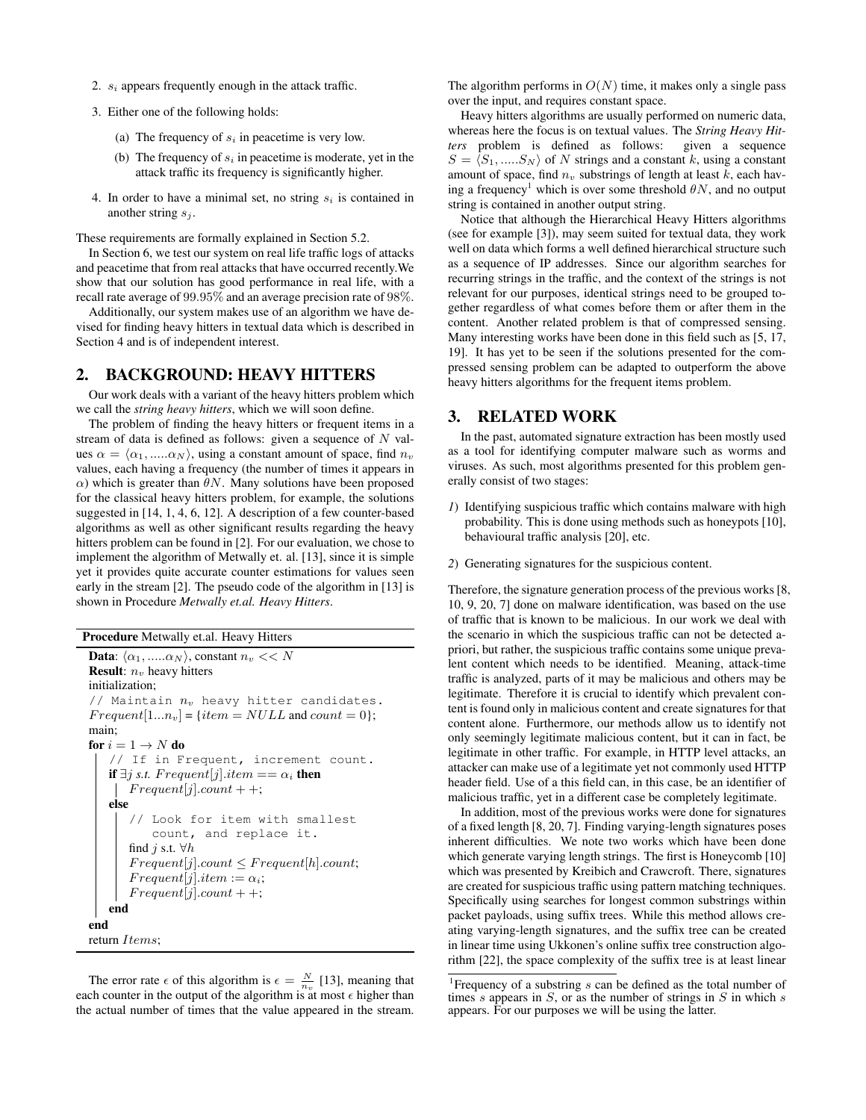- 2.  $s_i$  appears frequently enough in the attack traffic.
- 3. Either one of the following holds:
	- (a) The frequency of  $s_i$  in peacetime is very low.
	- (b) The frequency of  $s_i$  in peacetime is moderate, yet in the attack traffic its frequency is significantly higher.
- 4. In order to have a minimal set, no string  $s_i$  is contained in another string  $s_i$ .

These requirements are formally explained in Section 5.2.

In Section 6, we test our system on real life traffic logs of attacks and peacetime that from real attacks that have occurred recently.We show that our solution has good performance in real life, with a recall rate average of 99.95% and an average precision rate of 98%.

Additionally, our system makes use of an algorithm we have devised for finding heavy hitters in textual data which is described in Section 4 and is of independent interest.

## 2. BACKGROUND: HEAVY HITTERS

Our work deals with a variant of the heavy hitters problem which we call the *string heavy hitters*, which we will soon define.

The problem of finding the heavy hitters or frequent items in a stream of data is defined as follows: given a sequence of  $N$  values  $\alpha = \langle \alpha_1, \dots, \alpha_N \rangle$ , using a constant amount of space, find  $n_v$ values, each having a frequency (the number of times it appears in  $\alpha$ ) which is greater than  $\theta N$ . Many solutions have been proposed for the classical heavy hitters problem, for example, the solutions suggested in [14, 1, 4, 6, 12]. A description of a few counter-based algorithms as well as other significant results regarding the heavy hitters problem can be found in [2]. For our evaluation, we chose to implement the algorithm of Metwally et. al. [13], since it is simple yet it provides quite accurate counter estimations for values seen early in the stream [2]. The pseudo code of the algorithm in [13] is shown in Procedure *Metwally et.al. Heavy Hitters*.

```
Data: \langle \alpha_1, \dots, \alpha_N \rangle, constant n_v \ll NResult: n_v heavy hitters
initialization;
// Maintain n_v heavy hitter candidates.
Frequent[1...n_v] = {item = NULL and count = 0};main;
for i = 1 \rightarrow N do
   // If in Frequent, increment count.
   if \exists j s.t. Frequent[j].item == \alpha_i then
      Frequent[j].count + +;else
       // Look for item with smallest
            count, and replace it.
       find j s.t. \forall hFrequent[j].count \leq Frequent[h].count;Frequent[j].item := \alpha_i;Frequent[j].count + +;end
end
return Items;
```
The error rate  $\epsilon$  of this algorithm is  $\epsilon = \frac{N}{n_v}$  [13], meaning that each counter in the output of the algorithm is at most  $\epsilon$  higher than the actual number of times that the value appeared in the stream. The algorithm performs in  $O(N)$  time, it makes only a single pass over the input, and requires constant space.

Heavy hitters algorithms are usually performed on numeric data, whereas here the focus is on textual values. The *String Heavy Hitters* problem is defined as follows: given a sequence  $S = \langle S_1, \dots, S_N \rangle$  of N strings and a constant k, using a constant amount of space, find  $n_v$  substrings of length at least k, each having a frequency<sup>1</sup> which is over some threshold  $\theta N$ , and no output string is contained in another output string.

Notice that although the Hierarchical Heavy Hitters algorithms (see for example [3]), may seem suited for textual data, they work well on data which forms a well defined hierarchical structure such as a sequence of IP addresses. Since our algorithm searches for recurring strings in the traffic, and the context of the strings is not relevant for our purposes, identical strings need to be grouped together regardless of what comes before them or after them in the content. Another related problem is that of compressed sensing. Many interesting works have been done in this field such as [5, 17, 19]. It has yet to be seen if the solutions presented for the compressed sensing problem can be adapted to outperform the above heavy hitters algorithms for the frequent items problem.

#### 3. RELATED WORK

In the past, automated signature extraction has been mostly used as a tool for identifying computer malware such as worms and viruses. As such, most algorithms presented for this problem generally consist of two stages:

- *1*) Identifying suspicious traffic which contains malware with high probability. This is done using methods such as honeypots [10], behavioural traffic analysis [20], etc.
- *2*) Generating signatures for the suspicious content.

Therefore, the signature generation process of the previous works [8, 10, 9, 20, 7] done on malware identification, was based on the use of traffic that is known to be malicious. In our work we deal with the scenario in which the suspicious traffic can not be detected apriori, but rather, the suspicious traffic contains some unique prevalent content which needs to be identified. Meaning, attack-time traffic is analyzed, parts of it may be malicious and others may be legitimate. Therefore it is crucial to identify which prevalent content is found only in malicious content and create signatures for that content alone. Furthermore, our methods allow us to identify not only seemingly legitimate malicious content, but it can in fact, be legitimate in other traffic. For example, in HTTP level attacks, an attacker can make use of a legitimate yet not commonly used HTTP header field. Use of a this field can, in this case, be an identifier of malicious traffic, yet in a different case be completely legitimate.

In addition, most of the previous works were done for signatures of a fixed length [8, 20, 7]. Finding varying-length signatures poses inherent difficulties. We note two works which have been done which generate varying length strings. The first is Honeycomb [10] which was presented by Kreibich and Crawcroft. There, signatures are created for suspicious traffic using pattern matching techniques. Specifically using searches for longest common substrings within packet payloads, using suffix trees. While this method allows creating varying-length signatures, and the suffix tree can be created in linear time using Ukkonen's online suffix tree construction algorithm [22], the space complexity of the suffix tree is at least linear

<sup>&</sup>lt;sup>1</sup>Frequency of a substring  $s$  can be defined as the total number of times s appears in  $S$ , or as the number of strings in  $S$  in which s appears. For our purposes we will be using the latter.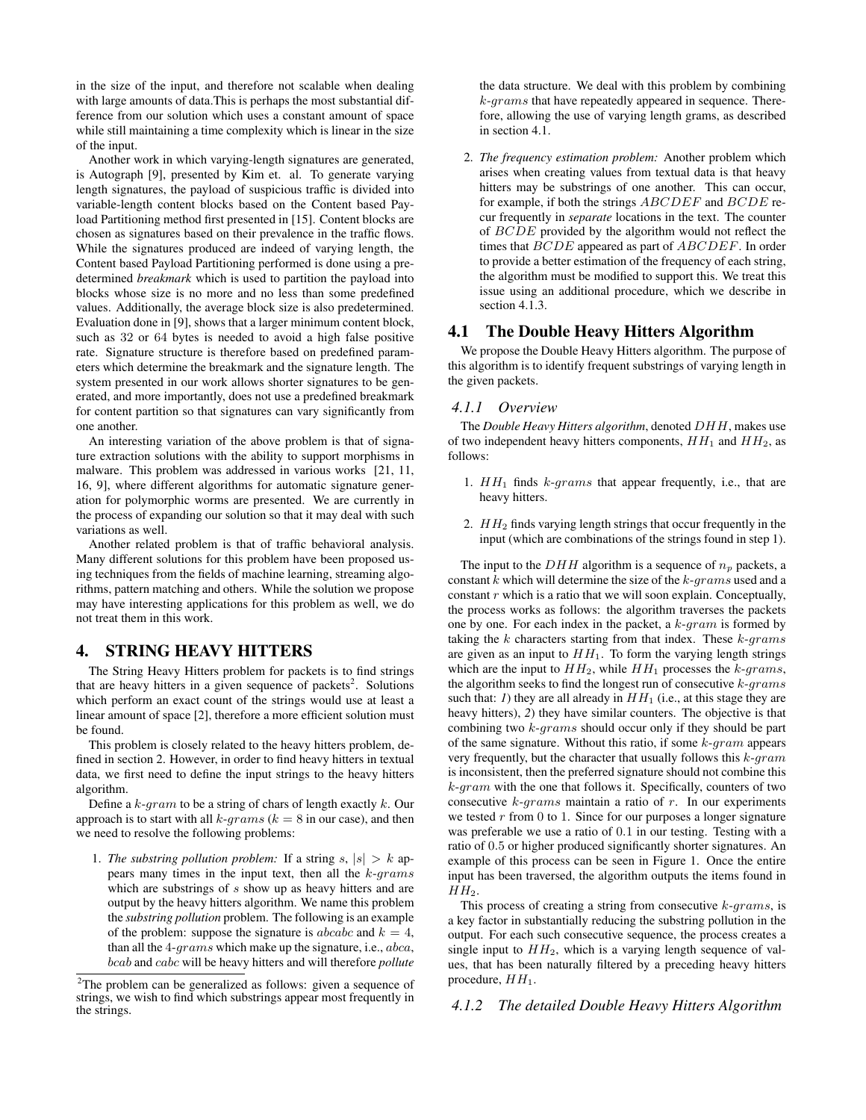in the size of the input, and therefore not scalable when dealing with large amounts of data.This is perhaps the most substantial difference from our solution which uses a constant amount of space while still maintaining a time complexity which is linear in the size of the input.

Another work in which varying-length signatures are generated, is Autograph [9], presented by Kim et. al. To generate varying length signatures, the payload of suspicious traffic is divided into variable-length content blocks based on the Content based Payload Partitioning method first presented in [15]. Content blocks are chosen as signatures based on their prevalence in the traffic flows. While the signatures produced are indeed of varying length, the Content based Payload Partitioning performed is done using a predetermined *breakmark* which is used to partition the payload into blocks whose size is no more and no less than some predefined values. Additionally, the average block size is also predetermined. Evaluation done in [9], shows that a larger minimum content block, such as 32 or 64 bytes is needed to avoid a high false positive rate. Signature structure is therefore based on predefined parameters which determine the breakmark and the signature length. The system presented in our work allows shorter signatures to be generated, and more importantly, does not use a predefined breakmark for content partition so that signatures can vary significantly from one another.

An interesting variation of the above problem is that of signature extraction solutions with the ability to support morphisms in malware. This problem was addressed in various works [21, 11, 16, 9], where different algorithms for automatic signature generation for polymorphic worms are presented. We are currently in the process of expanding our solution so that it may deal with such variations as well.

Another related problem is that of traffic behavioral analysis. Many different solutions for this problem have been proposed using techniques from the fields of machine learning, streaming algorithms, pattern matching and others. While the solution we propose may have interesting applications for this problem as well, we do not treat them in this work.

# 4. STRING HEAVY HITTERS

The String Heavy Hitters problem for packets is to find strings that are heavy hitters in a given sequence of packets<sup>2</sup>. Solutions which perform an exact count of the strings would use at least a linear amount of space [2], therefore a more efficient solution must be found.

This problem is closely related to the heavy hitters problem, defined in section 2. However, in order to find heavy hitters in textual data, we first need to define the input strings to the heavy hitters algorithm.

Define a  $k$ -gram to be a string of chars of length exactly  $k$ . Our approach is to start with all  $k$ -grams ( $k = 8$  in our case), and then we need to resolve the following problems:

1. *The substring pollution problem:* If a string  $s, |s| > k$  appears many times in the input text, then all the  $k$ -grams which are substrings of s show up as heavy hitters and are output by the heavy hitters algorithm. We name this problem the *substring pollution* problem. The following is an example of the problem: suppose the signature is *abcabc* and  $k = 4$ , than all the 4-grams which make up the signature, i.e., abca, bcab and cabc will be heavy hitters and will therefore *pollute*

the data structure. We deal with this problem by combining k-grams that have repeatedly appeared in sequence. Therefore, allowing the use of varying length grams, as described in section 4.1.

2. *The frequency estimation problem:* Another problem which arises when creating values from textual data is that heavy hitters may be substrings of one another. This can occur, for example, if both the strings ABCDEF and BCDE recur frequently in *separate* locations in the text. The counter of BCDE provided by the algorithm would not reflect the times that BCDE appeared as part of ABCDEF. In order to provide a better estimation of the frequency of each string, the algorithm must be modified to support this. We treat this issue using an additional procedure, which we describe in section 4.1.3.

#### 4.1 The Double Heavy Hitters Algorithm

We propose the Double Heavy Hitters algorithm. The purpose of this algorithm is to identify frequent substrings of varying length in the given packets.

#### *4.1.1 Overview*

The *Double Heavy Hitters algorithm*, denoted DHH, makes use of two independent heavy hitters components,  $HH_1$  and  $HH_2$ , as follows:

- 1.  $HH_1$  finds  $k$ -grams that appear frequently, i.e., that are heavy hitters.
- 2.  $HH_2$  finds varying length strings that occur frequently in the input (which are combinations of the strings found in step 1).

The input to the DHH algorithm is a sequence of  $n_p$  packets, a constant  $k$  which will determine the size of the  $k$ -grams used and a constant  $r$  which is a ratio that we will soon explain. Conceptually, the process works as follows: the algorithm traverses the packets one by one. For each index in the packet, a  $k\text{-}gram$  is formed by taking the  $k$  characters starting from that index. These  $k$ -grams are given as an input to  $HH_1$ . To form the varying length strings which are the input to  $HH_2$ , while  $HH_1$  processes the k-grams, the algorithm seeks to find the longest run of consecutive  $k$ -grams such that: *I*) they are all already in  $HH_1$  (i.e., at this stage they are heavy hitters), *2*) they have similar counters. The objective is that combining two k-grams should occur only if they should be part of the same signature. Without this ratio, if some  $k$ -gram appears very frequently, but the character that usually follows this  $k$ -gram is inconsistent, then the preferred signature should not combine this k-gram with the one that follows it. Specifically, counters of two consecutive  $k$ -grams maintain a ratio of  $r$ . In our experiments we tested  $r$  from 0 to 1. Since for our purposes a longer signature was preferable we use a ratio of 0.1 in our testing. Testing with a ratio of 0.5 or higher produced significantly shorter signatures. An example of this process can be seen in Figure 1. Once the entire input has been traversed, the algorithm outputs the items found in  $HH_2$ .

This process of creating a string from consecutive  $k$ -grams, is a key factor in substantially reducing the substring pollution in the output. For each such consecutive sequence, the process creates a single input to  $HH_2$ , which is a varying length sequence of values, that has been naturally filtered by a preceding heavy hitters procedure,  $HH_1$ .

*4.1.2 The detailed Double Heavy Hitters Algorithm*

<sup>&</sup>lt;sup>2</sup>The problem can be generalized as follows: given a sequence of strings, we wish to find which substrings appear most frequently in the strings.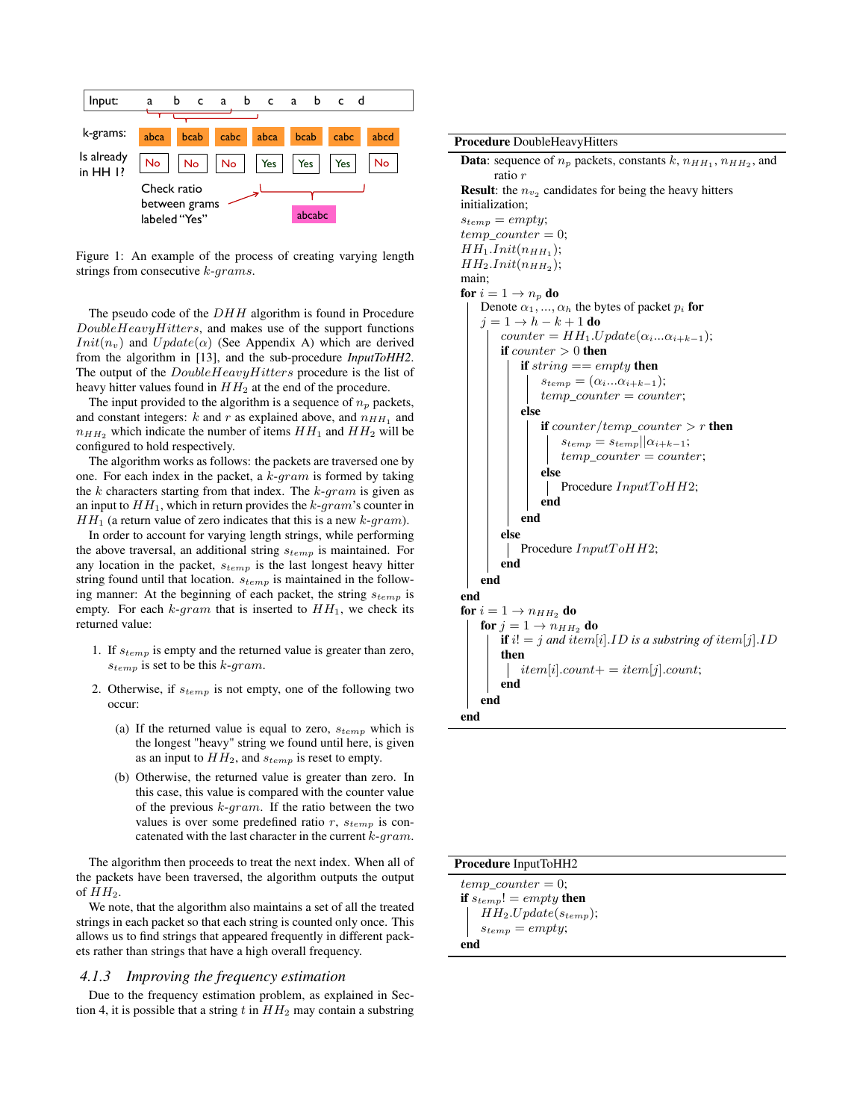

Figure 1: An example of the process of creating varying length strings from consecutive *k*-grams.

The pseudo code of the DHH algorithm is found in Procedure DoubleHeavyHitters, and makes use of the support functions  $Init(n_v)$  and  $Update(\alpha)$  (See Appendix A) which are derived from the algorithm in [13], and the sub-procedure *InputToHH2*. The output of the  $DoubleHeavyHitters$  procedure is the list of heavy hitter values found in  $HH_2$  at the end of the procedure.

The input provided to the algorithm is a sequence of  $n_p$  packets, and constant integers:  $k$  and  $r$  as explained above, and  $n_{HH_1}$  and  $n_{HH_2}$  which indicate the number of items  $HH_1$  and  $HH_2$  will be configured to hold respectively.

The algorithm works as follows: the packets are traversed one by one. For each index in the packet, a  $k$ -gram is formed by taking the  $k$  characters starting from that index. The  $k$ -gram is given as an input to  $HH_1$ , which in return provides the  $k\text{-}gram$ 's counter in  $HH_1$  (a return value of zero indicates that this is a new  $k\text{-}gram$ ).

In order to account for varying length strings, while performing the above traversal, an additional string  $s_{temp}$  is maintained. For any location in the packet,  $s_{temp}$  is the last longest heavy hitter string found until that location.  $s_{temp}$  is maintained in the following manner: At the beginning of each packet, the string  $s_{temp}$  is empty. For each  $k$ -gram that is inserted to  $HH_1$ , we check its returned value:

- 1. If  $s_{temp}$  is empty and the returned value is greater than zero,  $s_{temp}$  is set to be this k-gram.
- 2. Otherwise, if  $s_{temp}$  is not empty, one of the following two occur:
	- (a) If the returned value is equal to zero,  $s_{temp}$  which is the longest "heavy" string we found until here, is given as an input to  $HH_2$ , and  $s_{temp}$  is reset to empty.
	- (b) Otherwise, the returned value is greater than zero. In this case, this value is compared with the counter value of the previous  $k$ -gram. If the ratio between the two values is over some predefined ratio  $r$ ,  $s_{temp}$  is concatenated with the last character in the current  $k$ -gram.

The algorithm then proceeds to treat the next index. When all of the packets have been traversed, the algorithm outputs the output of  $HH_2$ .

We note, that the algorithm also maintains a set of all the treated strings in each packet so that each string is counted only once. This allows us to find strings that appeared frequently in different packets rather than strings that have a high overall frequency.

#### *4.1.3 Improving the frequency estimation*

Due to the frequency estimation problem, as explained in Section 4, it is possible that a string  $t$  in  $HH_2$  may contain a substring

#### Procedure DoubleHeavyHitters

```
Data: sequence of n_p packets, constants k, n_{HH_1}, n_{HH_2}, and
      ratio r
Result: the n_{v_2} candidates for being the heavy hitters
initialization;
s_{temp} = empty;temp\_counter = 0;HH_1.Init(n_{HH_1});HH_2.Init(n_{HH_2});main;
for i = 1 \rightarrow n_p do
   Denote \alpha_1, ..., \alpha_h the bytes of packet p_i for
   j = 1 \rightarrow h - k + 1 do
        counter = HH_1.Update(\alpha_i...\alpha_{i+k-1});if counter > 0 then
            if string == empty then
                s_{temp} = (\alpha_i...\alpha_{i+k-1});temp\_counter = counter;else
                if counter/temp\_counter > r then
                    s_{temp} = s_{temp} || \alpha_{i+k-1};temp\_counter = counter;else
                    Procedure InputToHH2;end
            end
        else
            Procedure InputToHH2;end
   end
end
for i = 1 \rightarrow n_{HH_2} do
   for j = 1 \rightarrow n_{HH_2} do
       if i! = j and item[i].ID is a substring of item[j].ID
       then
            item[i].count+=item[j].count;end
   end
end
```

|  | <b>Procedure InputToHH2</b> |
|--|-----------------------------|
|--|-----------------------------|

```
temp\_counter = 0;if s_{temp}! = empty then
   HH_2.Update(s_{temp});s_{temp} = empty;end
```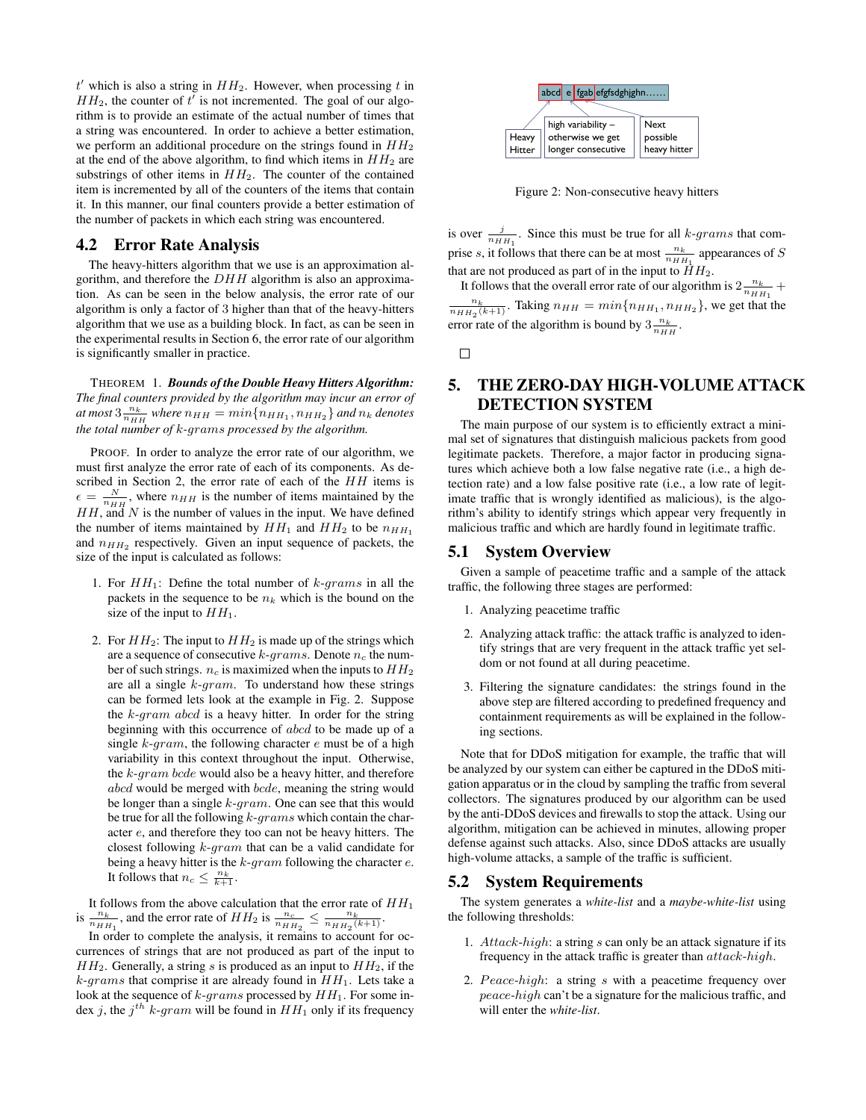$t'$  which is also a string in  $HH_2$ . However, when processing t in  $HH_2$ , the counter of  $t^{\prime}$  is not incremented. The goal of our algorithm is to provide an estimate of the actual number of times that a string was encountered. In order to achieve a better estimation, we perform an additional procedure on the strings found in  $HH_2$ at the end of the above algorithm, to find which items in  $HH_2$  are substrings of other items in  $HH_2$ . The counter of the contained item is incremented by all of the counters of the items that contain it. In this manner, our final counters provide a better estimation of the number of packets in which each string was encountered.

#### 4.2 Error Rate Analysis

The heavy-hitters algorithm that we use is an approximation algorithm, and therefore the  $DHH$  algorithm is also an approximation. As can be seen in the below analysis, the error rate of our algorithm is only a factor of 3 higher than that of the heavy-hitters algorithm that we use as a building block. In fact, as can be seen in the experimental results in Section 6, the error rate of our algorithm is significantly smaller in practice.

THEOREM 1. *Bounds of the Double Heavy Hitters Algorithm: The final counters provided by the algorithm may incur an error of at most*  $3 \frac{n_k}{n_{HH}}$  where  $n_{HH} = min\{n_{HH_1}, n_{HH_2}\}$  and  $n_k$  denotes *the total number of* k*-*grams *processed by the algorithm.*

PROOF. In order to analyze the error rate of our algorithm, we must first analyze the error rate of each of its components. As described in Section 2, the error rate of each of the  $HH$  items is  $\epsilon = \frac{N}{n_{HH}}$ , where  $n_{HH}$  is the number of items maintained by the  $HH$ , and  $N$  is the number of values in the input. We have defined the number of items maintained by  $HH_1$  and  $HH_2$  to be  $n_{HH_1}$ and  $n_{HH_2}$  respectively. Given an input sequence of packets, the size of the input is calculated as follows:

- 1. For  $HH_1$ : Define the total number of  $k$ -grams in all the packets in the sequence to be  $n_k$  which is the bound on the size of the input to  $HH_1$ .
- 2. For  $HH_2$ : The input to  $HH_2$  is made up of the strings which are a sequence of consecutive k-grams. Denote  $n_c$  the number of such strings.  $n_c$  is maximized when the inputs to  $HH_2$ are all a single  $k\text{-}gram$ . To understand how these strings can be formed lets look at the example in Fig. 2. Suppose the  $k$ -gram abcd is a heavy hitter. In order for the string beginning with this occurrence of abcd to be made up of a single  $k$ -gram, the following character  $e$  must be of a high variability in this context throughout the input. Otherwise, the k-gram bcde would also be a heavy hitter, and therefore abcd would be merged with bcde, meaning the string would be longer than a single k-qram. One can see that this would be true for all the following  $k$ -grams which contain the character e, and therefore they too can not be heavy hitters. The closest following k-gram that can be a valid candidate for being a heavy hitter is the  $k\text{-}gram$  following the character  $e$ . It follows that  $n_c \leq \frac{n_k}{k+1}$ .

It follows from the above calculation that the error rate of  $HH_1$ is  $\frac{n_k}{n_H H_1}$ , and the error rate of  $HH_2$  is  $\frac{n_c}{n_H H_2} \leq \frac{n_k}{n_H H_2(k+1)}$ .

In order to complete the analysis, it remains to account for occurrences of strings that are not produced as part of the input to  $HH_2$ . Generally, a string s is produced as an input to  $HH_2$ , if the  $k$ -grams that comprise it are already found in  $HH_1$ . Lets take a look at the sequence of  $k$ -grams processed by  $HH_1$ . For some index j, the  $j^{th}$  k-gram will be found in  $HH_1$  only if its frequency



Figure 2: Non-consecutive heavy hitters

is over  $\frac{j}{n_{HH_1}}$ . Since this must be true for all k-grams that comprise s, it follows that there can be at most  $\frac{n_k}{n_{HH_1}}$  appearances of S that are not produced as part of in the input to  $HH_2$ .

It follows that the overall error rate of our algorithm is  $2\frac{n_k}{n_{HH_1}} +$  $\frac{n_k}{n_H n_2(k+1)}$ . Taking  $n_{HH} = min\{n_{HH_1}, n_{HH_2}\}$ , we get that the error rate of the algorithm is bound by  $3 \frac{n_k}{n_{HH}}$ .

 $\Box$ 

# 5. THE ZERO-DAY HIGH-VOLUME ATTACK DETECTION SYSTEM

The main purpose of our system is to efficiently extract a minimal set of signatures that distinguish malicious packets from good legitimate packets. Therefore, a major factor in producing signatures which achieve both a low false negative rate (i.e., a high detection rate) and a low false positive rate (i.e., a low rate of legitimate traffic that is wrongly identified as malicious), is the algorithm's ability to identify strings which appear very frequently in malicious traffic and which are hardly found in legitimate traffic.

## 5.1 System Overview

Given a sample of peacetime traffic and a sample of the attack traffic, the following three stages are performed:

- 1. Analyzing peacetime traffic
- 2. Analyzing attack traffic: the attack traffic is analyzed to identify strings that are very frequent in the attack traffic yet seldom or not found at all during peacetime.
- 3. Filtering the signature candidates: the strings found in the above step are filtered according to predefined frequency and containment requirements as will be explained in the following sections.

Note that for DDoS mitigation for example, the traffic that will be analyzed by our system can either be captured in the DDoS mitigation apparatus or in the cloud by sampling the traffic from several collectors. The signatures produced by our algorithm can be used by the anti-DDoS devices and firewalls to stop the attack. Using our algorithm, mitigation can be achieved in minutes, allowing proper defense against such attacks. Also, since DDoS attacks are usually high-volume attacks, a sample of the traffic is sufficient.

### 5.2 System Requirements

The system generates a *white-list* and a *maybe-white-list* using the following thresholds:

- 1.  $Attack-high: a string s can only be an attack signature if its$ frequency in the attack traffic is greater than attack-high.
- 2.  $P eace-high:$  a string  $s$  with a peacetime frequency over peace-high can't be a signature for the malicious traffic, and will enter the *white-list*.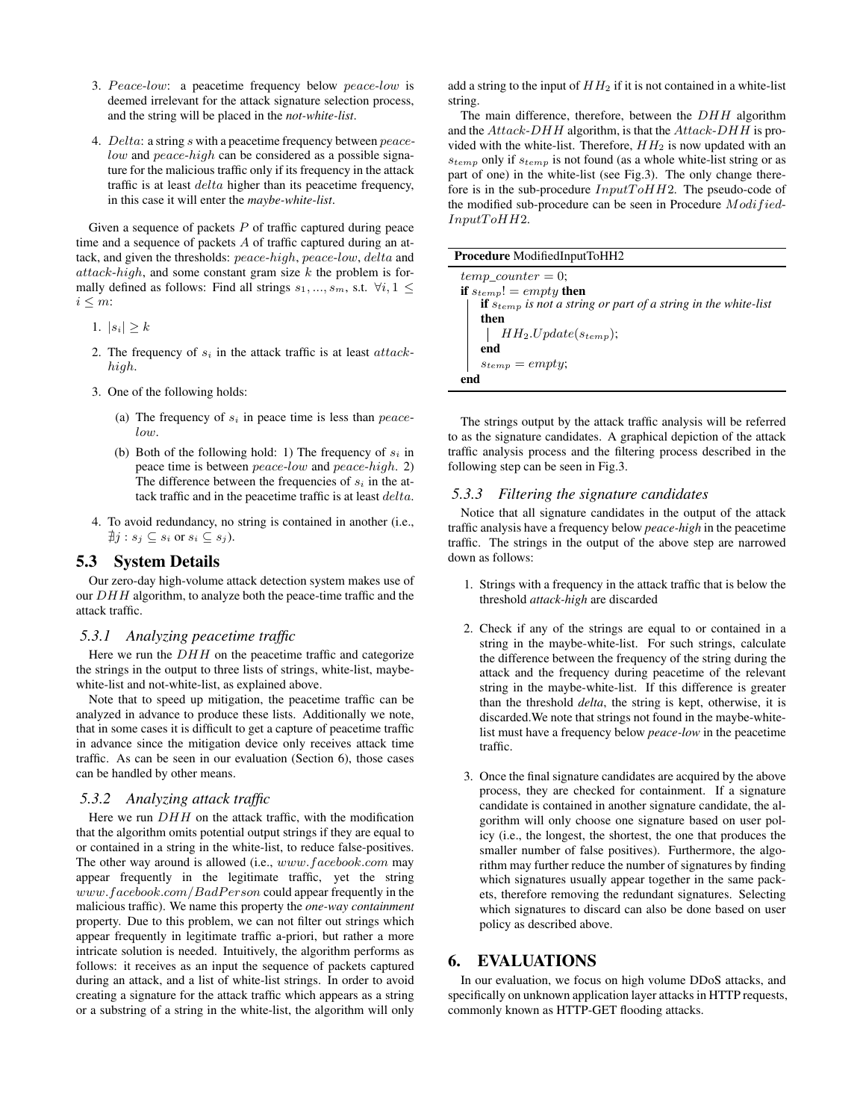- 3. Peace-low: a peacetime frequency below  $peace-low$  is deemed irrelevant for the attack signature selection process, and the string will be placed in the *not-white-list*.
- 4. Delta: a string s with a peacetime frequency between peacelow and peace-high can be considered as a possible signature for the malicious traffic only if its frequency in the attack traffic is at least delta higher than its peacetime frequency, in this case it will enter the *maybe-white-list*.

Given a sequence of packets  $P$  of traffic captured during peace time and a sequence of packets A of traffic captured during an attack, and given the thresholds: peace-high, peace-low, delta and  $attack-high$ , and some constant gram size  $k$  the problem is formally defined as follows: Find all strings  $s_1, ..., s_m$ , s.t.  $\forall i, 1 \leq$  $i \leq m$ :

- 1.  $|s_i| \geq k$
- 2. The frequency of  $s_i$  in the attack traffic is at least  $attack$ high.
- 3. One of the following holds:
	- (a) The frequency of  $s_i$  in peace time is less than  $peace$ low.
	- (b) Both of the following hold: 1) The frequency of  $s_i$  in peace time is between peace-low and peace-high. 2) The difference between the frequencies of  $s_i$  in the attack traffic and in the peacetime traffic is at least  $delta$ .
- 4. To avoid redundancy, no string is contained in another (i.e.,  $\nexists j : s_j \subseteq s_i \text{ or } s_i \subseteq s_j$ ).

# 5.3 System Details

Our zero-day high-volume attack detection system makes use of our  $DHH$  algorithm, to analyze both the peace-time traffic and the attack traffic.

#### *5.3.1 Analyzing peacetime traffic*

Here we run the  $DHH$  on the peacetime traffic and categorize the strings in the output to three lists of strings, white-list, maybewhite-list and not-white-list, as explained above.

Note that to speed up mitigation, the peacetime traffic can be analyzed in advance to produce these lists. Additionally we note, that in some cases it is difficult to get a capture of peacetime traffic in advance since the mitigation device only receives attack time traffic. As can be seen in our evaluation (Section 6), those cases can be handled by other means.

#### *5.3.2 Analyzing attack traffic*

Here we run  $DHH$  on the attack traffic, with the modification that the algorithm omits potential output strings if they are equal to or contained in a string in the white-list, to reduce false-positives. The other way around is allowed (i.e., www.facebook.com may appear frequently in the legitimate traffic, yet the string  $www.facebook.com/BadPerson$  could appear frequently in the malicious traffic). We name this property the *one-way containment* property. Due to this problem, we can not filter out strings which appear frequently in legitimate traffic a-priori, but rather a more intricate solution is needed. Intuitively, the algorithm performs as follows: it receives as an input the sequence of packets captured during an attack, and a list of white-list strings. In order to avoid creating a signature for the attack traffic which appears as a string or a substring of a string in the white-list, the algorithm will only

add a string to the input of  $HH_2$  if it is not contained in a white-list string.

The main difference, therefore, between the  $DHH$  algorithm and the Attack-DHH algorithm, is that the Attack-DHH is provided with the white-list. Therefore,  $HH_2$  is now updated with an  $s_{temp}$  only if  $s_{temp}$  is not found (as a whole white-list string or as part of one) in the white-list (see Fig.3). The only change therefore is in the sub-procedure  $InputToHH2$ . The pseudo-code of the modified sub-procedure can be seen in Procedure Modified- $Input To HH2.$ 

 $temp\_counter = 0;$ if  $s_{temp}! = empty$  then if stemp *is not a string or part of a string in the white-list* then  $H_{12}.Update(s_{temp});$ end  $s_{temp} = empty;$ end

The strings output by the attack traffic analysis will be referred to as the signature candidates. A graphical depiction of the attack traffic analysis process and the filtering process described in the following step can be seen in Fig.3.

#### *5.3.3 Filtering the signature candidates*

Notice that all signature candidates in the output of the attack traffic analysis have a frequency below *peace-high* in the peacetime traffic. The strings in the output of the above step are narrowed down as follows:

- 1. Strings with a frequency in the attack traffic that is below the threshold *attack-high* are discarded
- 2. Check if any of the strings are equal to or contained in a string in the maybe-white-list. For such strings, calculate the difference between the frequency of the string during the attack and the frequency during peacetime of the relevant string in the maybe-white-list. If this difference is greater than the threshold *delta*, the string is kept, otherwise, it is discarded.We note that strings not found in the maybe-whitelist must have a frequency below *peace-low* in the peacetime traffic.
- 3. Once the final signature candidates are acquired by the above process, they are checked for containment. If a signature candidate is contained in another signature candidate, the algorithm will only choose one signature based on user policy (i.e., the longest, the shortest, the one that produces the smaller number of false positives). Furthermore, the algorithm may further reduce the number of signatures by finding which signatures usually appear together in the same packets, therefore removing the redundant signatures. Selecting which signatures to discard can also be done based on user policy as described above.

# 6. EVALUATIONS

In our evaluation, we focus on high volume DDoS attacks, and specifically on unknown application layer attacks in HTTP requests, commonly known as HTTP-GET flooding attacks.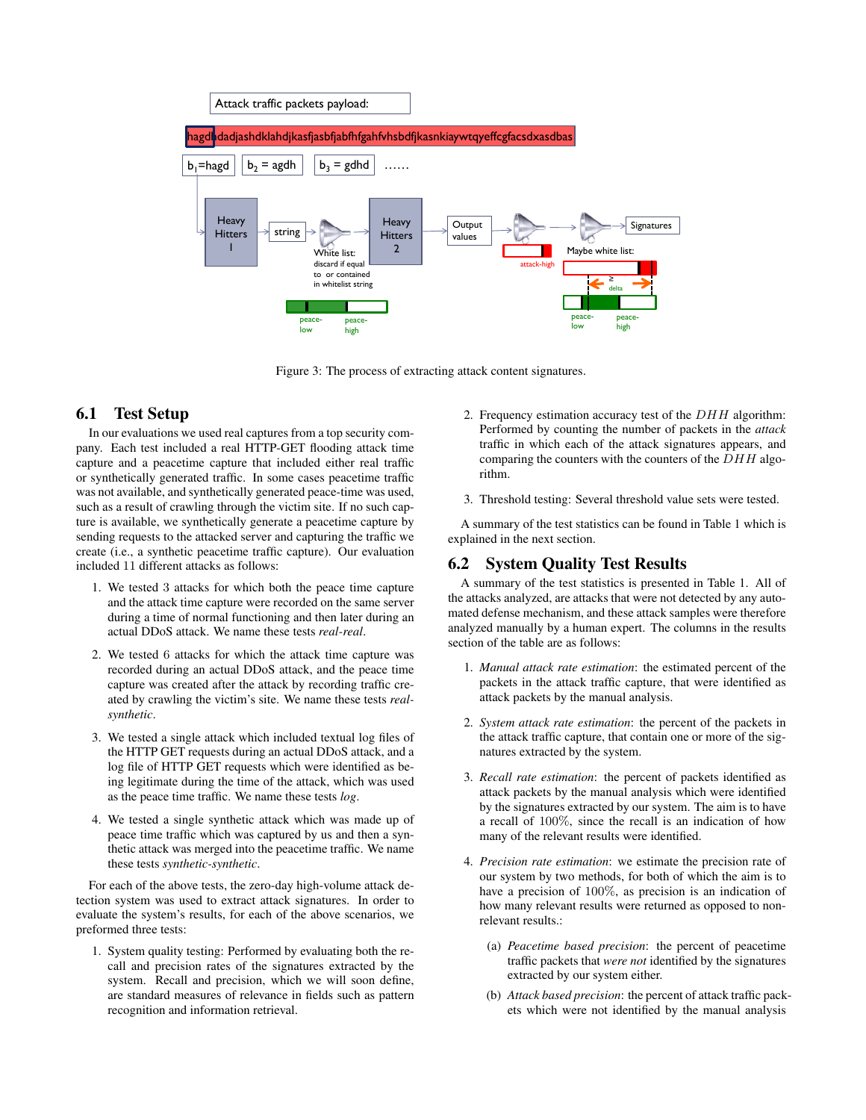

Figure 3: The process of extracting attack content signatures.

# 6.1 Test Setup

In our evaluations we used real captures from a top security company. Each test included a real HTTP-GET flooding attack time capture and a peacetime capture that included either real traffic or synthetically generated traffic. In some cases peacetime traffic was not available, and synthetically generated peace-time was used, such as a result of crawling through the victim site. If no such capture is available, we synthetically generate a peacetime capture by sending requests to the attacked server and capturing the traffic we create (i.e., a synthetic peacetime traffic capture). Our evaluation included 11 different attacks as follows:

- 1. We tested 3 attacks for which both the peace time capture and the attack time capture were recorded on the same server during a time of normal functioning and then later during an actual DDoS attack. We name these tests *real-real*.
- 2. We tested 6 attacks for which the attack time capture was recorded during an actual DDoS attack, and the peace time capture was created after the attack by recording traffic created by crawling the victim's site. We name these tests *realsynthetic*.
- 3. We tested a single attack which included textual log files of the HTTP GET requests during an actual DDoS attack, and a log file of HTTP GET requests which were identified as being legitimate during the time of the attack, which was used as the peace time traffic. We name these tests *log*.
- 4. We tested a single synthetic attack which was made up of peace time traffic which was captured by us and then a synthetic attack was merged into the peacetime traffic. We name these tests *synthetic-synthetic*.

For each of the above tests, the zero-day high-volume attack detection system was used to extract attack signatures. In order to evaluate the system's results, for each of the above scenarios, we preformed three tests:

1. System quality testing: Performed by evaluating both the recall and precision rates of the signatures extracted by the system. Recall and precision, which we will soon define, are standard measures of relevance in fields such as pattern recognition and information retrieval.

- 2. Frequency estimation accuracy test of the  $DHH$  algorithm: Performed by counting the number of packets in the *attack* traffic in which each of the attack signatures appears, and comparing the counters with the counters of the  $DHH$  algorithm.
- 3. Threshold testing: Several threshold value sets were tested.

A summary of the test statistics can be found in Table 1 which is explained in the next section.

# 6.2 System Quality Test Results

A summary of the test statistics is presented in Table 1. All of the attacks analyzed, are attacks that were not detected by any automated defense mechanism, and these attack samples were therefore analyzed manually by a human expert. The columns in the results section of the table are as follows:

- 1. *Manual attack rate estimation*: the estimated percent of the packets in the attack traffic capture, that were identified as attack packets by the manual analysis.
- 2. *System attack rate estimation*: the percent of the packets in the attack traffic capture, that contain one or more of the signatures extracted by the system.
- 3. *Recall rate estimation*: the percent of packets identified as attack packets by the manual analysis which were identified by the signatures extracted by our system. The aim is to have a recall of 100%, since the recall is an indication of how many of the relevant results were identified.
- 4. *Precision rate estimation*: we estimate the precision rate of our system by two methods, for both of which the aim is to have a precision of 100%, as precision is an indication of how many relevant results were returned as opposed to nonrelevant results.:
	- (a) *Peacetime based precision*: the percent of peacetime traffic packets that *were not* identified by the signatures extracted by our system either.
	- (b) *Attack based precision*: the percent of attack traffic packets which were not identified by the manual analysis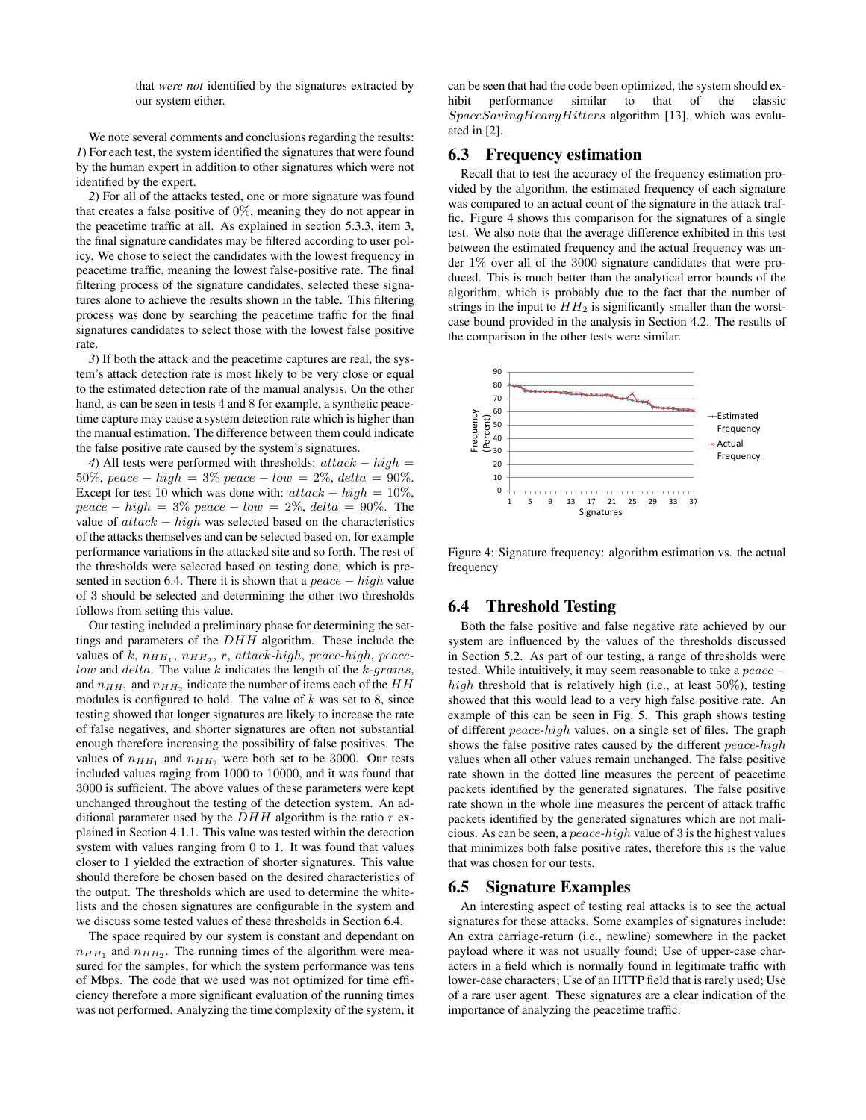that *were not* identified by the signatures extracted by our system either.

We note several comments and conclusions regarding the results: *1*) For each test, the system identified the signatures that were found by the human expert in addition to other signatures which were not identified by the expert.

*2*) For all of the attacks tested, one or more signature was found that creates a false positive of 0%, meaning they do not appear in the peacetime traffic at all. As explained in section 5.3.3, item 3, the final signature candidates may be filtered according to user policy. We chose to select the candidates with the lowest frequency in peacetime traffic, meaning the lowest false-positive rate. The final filtering process of the signature candidates, selected these signatures alone to achieve the results shown in the table. This filtering process was done by searching the peacetime traffic for the final signatures candidates to select those with the lowest false positive rate.

*3*) If both the attack and the peacetime captures are real, the system's attack detection rate is most likely to be very close or equal to the estimated detection rate of the manual analysis. On the other hand, as can be seen in tests 4 and 8 for example, a synthetic peacetime capture may cause a system detection rate which is higher than the manual estimation. The difference between them could indicate the false positive rate caused by the system's signatures.

*4*) All tests were performed with thresholds:  $attack - high =$ 50%, peace  $- high = 3\%$  peace  $- low = 2\%$ , delta = 90%. Except for test 10 which was done with:  $attack - high = 10\%,$  $peace - high = 3\% \ peace - low = 2\%, delta = 90\%.$  The value of  $attack - high$  was selected based on the characteristics of the attacks themselves and can be selected based on, for example performance variations in the attacked site and so forth. The rest of the thresholds were selected based on testing done, which is presented in section 6.4. There it is shown that a  $peace - high$  value of 3 should be selected and determining the other two thresholds follows from setting this value.

Our testing included a preliminary phase for determining the settings and parameters of the DHH algorithm. These include the values of  $k$ ,  $n_{HH_1}$ ,  $n_{HH_2}$ ,  $r$ , attack-high, peace-high, peacelow and delta. The value  $k$  indicates the length of the  $k$ -grams, and  $n_{HH_1}$  and  $n_{HH_2}$  indicate the number of items each of the  $HH$ modules is configured to hold. The value of  $k$  was set to  $8$ , since testing showed that longer signatures are likely to increase the rate of false negatives, and shorter signatures are often not substantial enough therefore increasing the possibility of false positives. The values of  $n_{HH_1}$  and  $n_{HH_2}$  were both set to be 3000. Our tests included values raging from 1000 to 10000, and it was found that 3000 is sufficient. The above values of these parameters were kept unchanged throughout the testing of the detection system. An additional parameter used by the  $DHH$  algorithm is the ratio  $r$  explained in Section 4.1.1. This value was tested within the detection system with values ranging from 0 to 1. It was found that values closer to 1 yielded the extraction of shorter signatures. This value should therefore be chosen based on the desired characteristics of the output. The thresholds which are used to determine the whitelists and the chosen signatures are configurable in the system and we discuss some tested values of these thresholds in Section 6.4.

The space required by our system is constant and dependant on  $n_{HH_1}$  and  $n_{HH_2}$ . The running times of the algorithm were measured for the samples, for which the system performance was tens of Mbps. The code that we used was not optimized for time efficiency therefore a more significant evaluation of the running times was not performed. Analyzing the time complexity of the system, it can be seen that had the code been optimized, the system should exhibit performance similar to that of the classic  $SpaceSavingHeavyHitters$  algorithm [13], which was evaluated in [2].

# 6.3 Frequency estimation

Recall that to test the accuracy of the frequency estimation provided by the algorithm, the estimated frequency of each signature was compared to an actual count of the signature in the attack traffic. Figure 4 shows this comparison for the signatures of a single test. We also note that the average difference exhibited in this test between the estimated frequency and the actual frequency was under 1% over all of the 3000 signature candidates that were produced. This is much better than the analytical error bounds of the algorithm, which is probably due to the fact that the number of strings in the input to  $HH_2$  is significantly smaller than the worstcase bound provided in the analysis in Section 4.2. The results of the comparison in the other tests were similar.



Figure 4: Signature frequency: algorithm estimation vs. the actual frequency

# 6.4 Threshold Testing

Both the false positive and false negative rate achieved by our system are influenced by the values of the thresholds discussed in Section 5.2. As part of our testing, a range of thresholds were tested. While intuitively, it may seem reasonable to take a peace − high threshold that is relatively high (i.e., at least  $50\%$ ), testing showed that this would lead to a very high false positive rate. An example of this can be seen in Fig. 5. This graph shows testing of different peace-high values, on a single set of files. The graph shows the false positive rates caused by the different peace-high values when all other values remain unchanged. The false positive rate shown in the dotted line measures the percent of peacetime packets identified by the generated signatures. The false positive rate shown in the whole line measures the percent of attack traffic packets identified by the generated signatures which are not malicious. As can be seen, a peace-high value of 3 is the highest values that minimizes both false positive rates, therefore this is the value that was chosen for our tests.

#### 6.5 Signature Examples

An interesting aspect of testing real attacks is to see the actual signatures for these attacks. Some examples of signatures include: An extra carriage-return (i.e., newline) somewhere in the packet payload where it was not usually found; Use of upper-case characters in a field which is normally found in legitimate traffic with lower-case characters; Use of an HTTP field that is rarely used; Use of a rare user agent. These signatures are a clear indication of the importance of analyzing the peacetime traffic.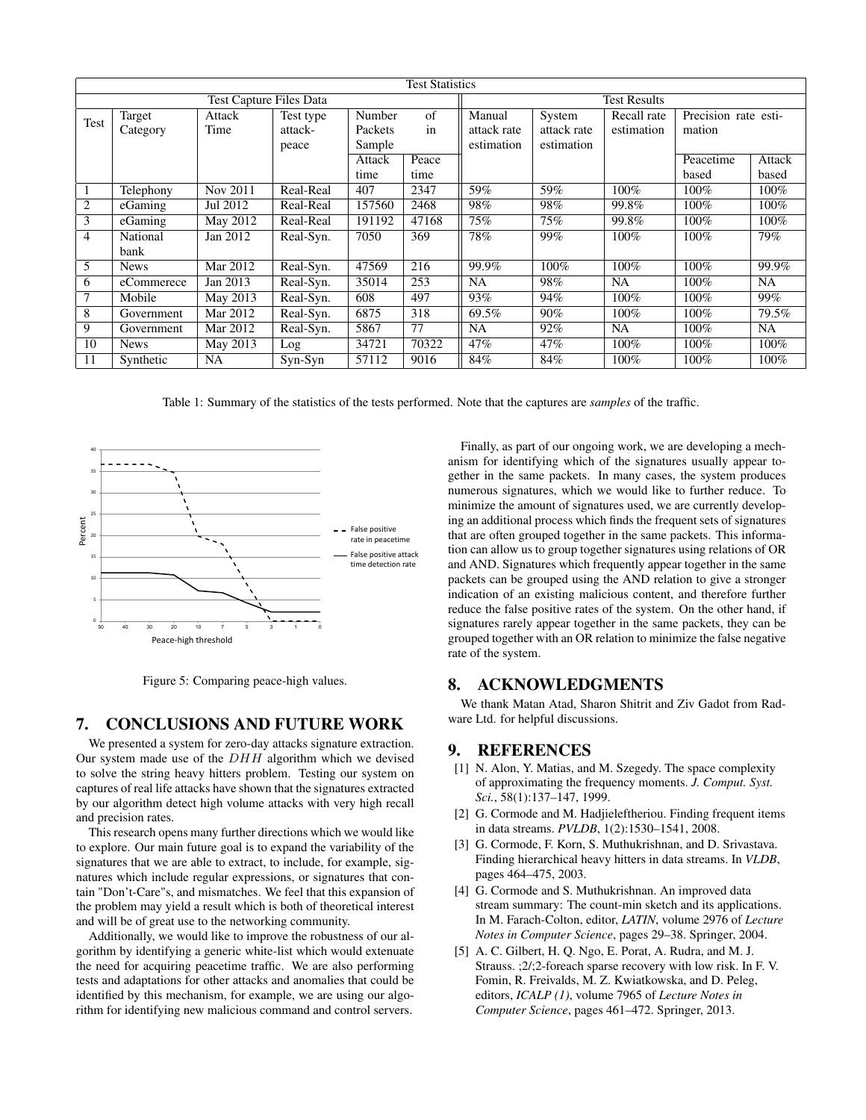|                                |             |          |           |                                                 | <b>Test Statistics</b> |                     |             |            |                      |           |
|--------------------------------|-------------|----------|-----------|-------------------------------------------------|------------------------|---------------------|-------------|------------|----------------------|-----------|
| <b>Test Capture Files Data</b> |             |          |           |                                                 |                        | <b>Test Results</b> |             |            |                      |           |
| Test                           | Target      | Attack   | Test type | of<br>Recall rate<br>Number<br>Manual<br>System |                        |                     |             |            | Precision rate esti- |           |
|                                | Category    | Time     | attack-   | Packets                                         | in                     | attack rate         | attack rate | estimation | mation               |           |
|                                |             |          | peace     | Sample                                          |                        | estimation          | estimation  |            |                      |           |
|                                |             |          |           | Attack                                          | Peace                  |                     |             |            | Peacetime            | Attack    |
|                                |             |          |           | time                                            | time                   |                     |             |            | based                | based     |
|                                | Telephony   | Nov 2011 | Real-Real | 407                                             | 2347                   | 59%                 | 59%         | 100%       | 100%                 | 100%      |
| 2                              | eGaming     | Jul 2012 | Real-Real | 157560                                          | 2468                   | 98%                 | 98%         | 99.8%      | $100\%$              | 100%      |
| 3                              | eGaming     | May 2012 | Real-Real | 191192                                          | 47168                  | 75%                 | 75%         | 99.8%      | 100%                 | 100%      |
| $\overline{4}$                 | National    | Jan 2012 | Real-Syn. | 7050                                            | 369                    | 78%                 | 99%         | $100\%$    | 100%                 | 79%       |
|                                | bank        |          |           |                                                 |                        |                     |             |            |                      |           |
| 5                              | <b>News</b> | Mar 2012 | Real-Syn. | 47569                                           | 216                    | 99.9%               | 100%        | 100%       | 100%                 | 99.9%     |
| 6                              | eCommerece  | Jan 2013 | Real-Syn. | 35014                                           | 253                    | NA                  | 98%         | <b>NA</b>  | 100%                 | <b>NA</b> |
| 7                              | Mobile      | May 2013 | Real-Syn. | 608                                             | 497                    | 93%                 | 94%         | $100\%$    | 100%                 | 99%       |
| 8                              | Government  | Mar 2012 | Real-Syn. | 6875                                            | 318                    | 69.5%               | $90\%$      | $100\%$    | 100%                 | 79.5%     |
| 9                              | Government  | Mar 2012 | Real-Syn. | 5867                                            | 77                     | <b>NA</b>           | 92%         | <b>NA</b>  | 100%                 | <b>NA</b> |
| 10                             | <b>News</b> | May 2013 | Log       | 34721                                           | 70322                  | 47%                 | 47%         | 100%       | 100%                 | 100%      |
| 11                             | Synthetic   | NA       | Syn-Syn   | 57112                                           | 9016                   | 84%                 | 84%         | $100\%$    | 100%                 | 100%      |

Table 1: Summary of the statistics of the tests performed. Note that the captures are *samples* of the traffic.



Figure 5: Comparing peace-high values.

# 7. CONCLUSIONS AND FUTURE WORK

We presented a system for zero-day attacks signature extraction. Our system made use of the  $DHH$  algorithm which we devised to solve the string heavy hitters problem. Testing our system on captures of real life attacks have shown that the signatures extracted by our algorithm detect high volume attacks with very high recall and precision rates.

This research opens many further directions which we would like to explore. Our main future goal is to expand the variability of the signatures that we are able to extract, to include, for example, signatures which include regular expressions, or signatures that contain "Don't-Care"s, and mismatches. We feel that this expansion of the problem may yield a result which is both of theoretical interest and will be of great use to the networking community.

Additionally, we would like to improve the robustness of our algorithm by identifying a generic white-list which would extenuate the need for acquiring peacetime traffic. We are also performing tests and adaptations for other attacks and anomalies that could be identified by this mechanism, for example, we are using our algorithm for identifying new malicious command and control servers.

Finally, as part of our ongoing work, we are developing a mechanism for identifying which of the signatures usually appear together in the same packets. In many cases, the system produces numerous signatures, which we would like to further reduce. To minimize the amount of signatures used, we are currently developing an additional process which finds the frequent sets of signatures that are often grouped together in the same packets. This information can allow us to group together signatures using relations of OR and AND. Signatures which frequently appear together in the same packets can be grouped using the AND relation to give a stronger indication of an existing malicious content, and therefore further reduce the false positive rates of the system. On the other hand, if signatures rarely appear together in the same packets, they can be grouped together with an OR relation to minimize the false negative rate of the system.

# 8. ACKNOWLEDGMENTS

We thank Matan Atad, Sharon Shitrit and Ziv Gadot from Radware Ltd. for helpful discussions.

### 9. REFERENCES

- [1] N. Alon, Y. Matias, and M. Szegedy. The space complexity of approximating the frequency moments. *J. Comput. Syst. Sci.*, 58(1):137–147, 1999.
- [2] G. Cormode and M. Hadjieleftheriou. Finding frequent items in data streams. *PVLDB*, 1(2):1530–1541, 2008.
- [3] G. Cormode, F. Korn, S. Muthukrishnan, and D. Srivastava. Finding hierarchical heavy hitters in data streams. In *VLDB*, pages 464–475, 2003.
- [4] G. Cormode and S. Muthukrishnan. An improved data stream summary: The count-min sketch and its applications. In M. Farach-Colton, editor, *LATIN*, volume 2976 of *Lecture Notes in Computer Science*, pages 29–38. Springer, 2004.
- [5] A. C. Gilbert, H. Q. Ngo, E. Porat, A. Rudra, and M. J. Strauss. ;2/;2-foreach sparse recovery with low risk. In F. V. Fomin, R. Freivalds, M. Z. Kwiatkowska, and D. Peleg, editors, *ICALP (1)*, volume 7965 of *Lecture Notes in Computer Science*, pages 461–472. Springer, 2013.